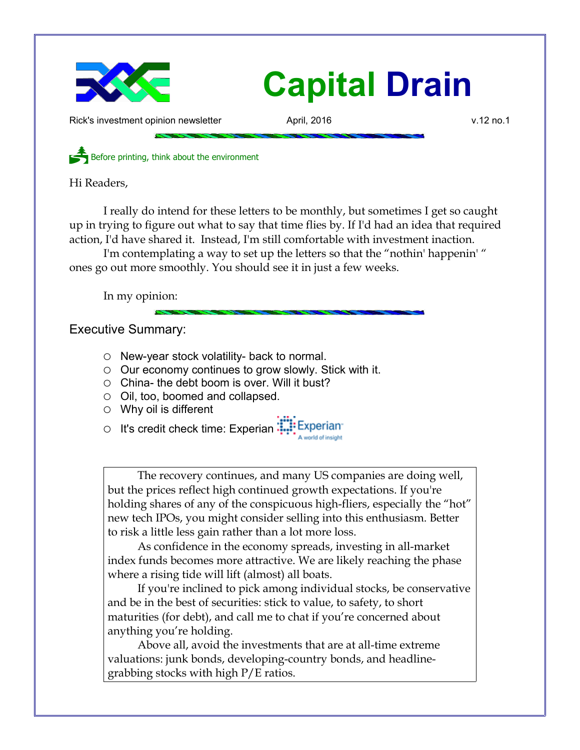

## **Capital Drain**

Rick's investment opinion newsletter **April, 2016** v.12 no.1

Before printing, think about the environment

Hi Readers,

I really do intend for these letters to be monthly, but sometimes I get so caught up in trying to figure out what to say that time flies by. If I'd had an idea that required action, I'd have shared it. Instead, I'm still comfortable with investment inaction.

I'm contemplating a way to set up the letters so that the "nothin' happenin' " ones go out more smoothly. You should see it in just a few weeks.

In my opinion:

Executive Summary:

- New-year stock volatility- back to normal.
- Our economy continues to grow slowly. Stick with it.
- $\circ$  China- the debt boom is over. Will it bust?
- Oil, too, boomed and collapsed.
- $\circ$  Why oil is different

○ It's credit check time: Experian: ::::: Experian

The recovery continues, and many US companies are doing well, but the prices reflect high continued growth expectations. If you're holding shares of any of the conspicuous high-fliers, especially the "hot" new tech IPOs, you might consider selling into this enthusiasm. Better to risk a little less gain rather than a lot more loss.

As confidence in the economy spreads, investing in all-market index funds becomes more attractive. We are likely reaching the phase where a rising tide will lift (almost) all boats.

If you're inclined to pick among individual stocks, be conservative and be in the best of securities: stick to value, to safety, to short maturities (for debt), and call me to chat if you're concerned about anything you're holding.

Above all, avoid the investments that are at all-time extreme valuations: junk bonds, developing-country bonds, and headlinegrabbing stocks with high P/E ratios.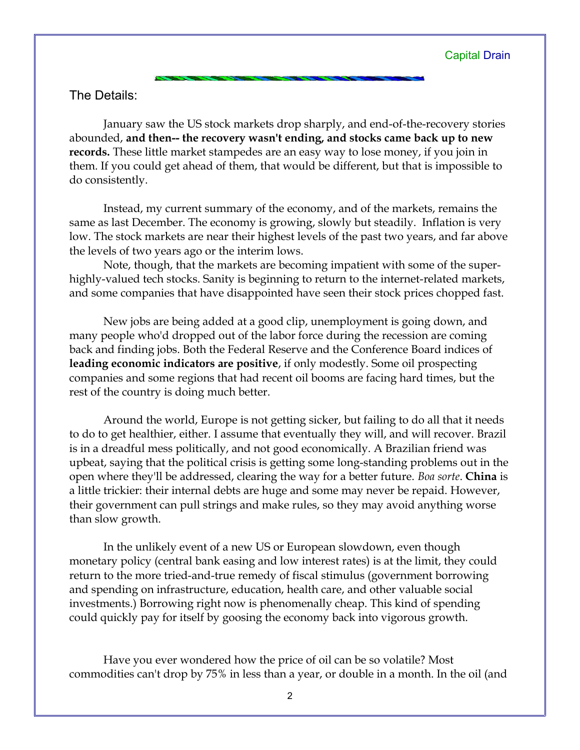The Details:

January saw the US stock markets drop sharply, and end-of-the-recovery stories abounded, **and then-- the recovery wasn't ending, and stocks came back up to new records.** These little market stampedes are an easy way to lose money, if you join in them. If you could get ahead of them, that would be different, but that is impossible to do consistently.

Instead, my current summary of the economy, and of the markets, remains the same as last December. The economy is growing, slowly but steadily. Inflation is very low. The stock markets are near their highest levels of the past two years, and far above the levels of two years ago or the interim lows.

Note, though, that the markets are becoming impatient with some of the superhighly-valued tech stocks. Sanity is beginning to return to the internet-related markets, and some companies that have disappointed have seen their stock prices chopped fast.

New jobs are being added at a good clip, unemployment is going down, and many people who'd dropped out of the labor force during the recession are coming back and finding jobs. Both the Federal Reserve and the Conference Board indices of **leading economic indicators are positive**, if only modestly. Some oil prospecting companies and some regions that had recent oil booms are facing hard times, but the rest of the country is doing much better.

Around the world, Europe is not getting sicker, but failing to do all that it needs to do to get healthier, either. I assume that eventually they will, and will recover. Brazil is in a dreadful mess politically, and not good economically. A Brazilian friend was upbeat, saying that the political crisis is getting some long-standing problems out in the open where they'll be addressed, clearing the way for a better future. *Boa sorte*. **China** is a little trickier: their internal debts are huge and some may never be repaid. However, their government can pull strings and make rules, so they may avoid anything worse than slow growth.

In the unlikely event of a new US or European slowdown, even though monetary policy (central bank easing and low interest rates) is at the limit, they could return to the more tried-and-true remedy of fiscal stimulus (government borrowing and spending on infrastructure, education, health care, and other valuable social investments.) Borrowing right now is phenomenally cheap. This kind of spending could quickly pay for itself by goosing the economy back into vigorous growth.

Have you ever wondered how the price of oil can be so volatile? Most commodities can't drop by 75% in less than a year, or double in a month. In the oil (and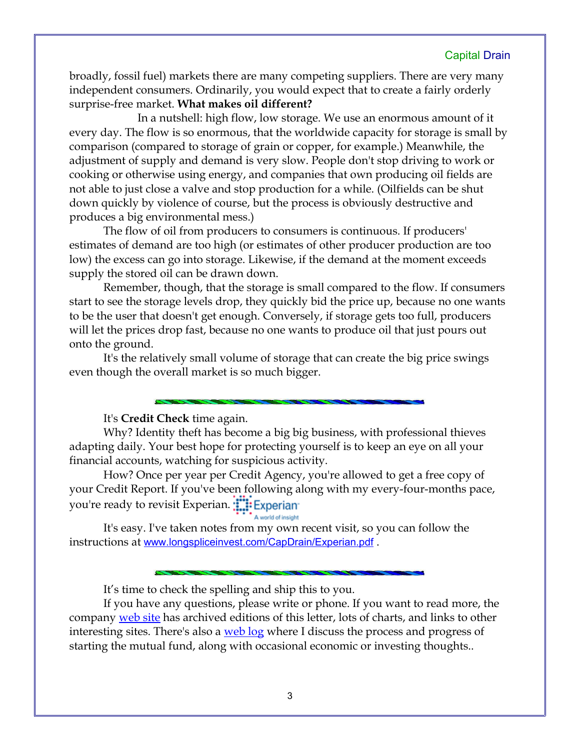## Capital Drain

broadly, fossil fuel) markets there are many competing suppliers. There are very many independent consumers. Ordinarily, you would expect that to create a fairly orderly surprise-free market. **What makes oil different?**

In a nutshell: high flow, low storage. We use an enormous amount of it every day. The flow is so enormous, that the worldwide capacity for storage is small by comparison (compared to storage of grain or copper, for example.) Meanwhile, the adjustment of supply and demand is very slow. People don't stop driving to work or cooking or otherwise using energy, and companies that own producing oil fields are not able to just close a valve and stop production for a while. (Oilfields can be shut down quickly by violence of course, but the process is obviously destructive and produces a big environmental mess.)

The flow of oil from producers to consumers is continuous. If producers' estimates of demand are too high (or estimates of other producer production are too low) the excess can go into storage. Likewise, if the demand at the moment exceeds supply the stored oil can be drawn down.

Remember, though, that the storage is small compared to the flow. If consumers start to see the storage levels drop, they quickly bid the price up, because no one wants to be the user that doesn't get enough. Conversely, if storage gets too full, producers will let the prices drop fast, because no one wants to produce oil that just pours out onto the ground.

It's the relatively small volume of storage that can create the big price swings even though the overall market is so much bigger.

It's **Credit Check** time again.

Why? Identity theft has become a big big business, with professional thieves adapting daily. Your best hope for protecting yourself is to keep an eye on all your financial accounts, watching for suspicious activity.

How? Once per year per Credit Agency, you're allowed to get a free copy of your Credit Report. If you've been following along with my every-four-months pace, you're ready to revisit Experian. **The Experian** 

## A world of insight

It's easy. I've taken notes from my own recent visit, so you can follow the instructions at [www.longspliceinvest.com/CapDrain/Experian.pdf](http://www.longspliceinvest.com/CapDrain/Experian.pdf).

It's time to check the spelling and ship this to you.

If you have any questions, please write or phone. If you want to read more, the company [web site](http://www.LongspliceInvest.com/newsletter.shtml) has archived editions of this letter, lots of charts, and links to other interesting sites. There's also a <u>web log</u> where I discuss the process and progress of starting the mutual fund, along with occasional economic or investing thoughts..